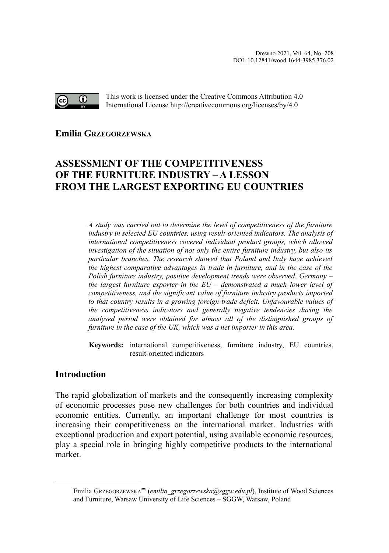

This work is licensed under the Creative Commons Attribution 4.0 International License http://creativecommons.org/licenses/by/4.0

**Emilia GRZEGORZEWSK[A](#page-0-0)**

# **ASSESSMENT OF THE COMPETITIVENESS OF THE FURNITURE INDUSTRY – A LESSON FROM THE LARGEST EXPORTING EU COUNTRIES**

*A study was carried out to determine the level of competitiveness of the furniture industry in selected EU countries, using result-oriented indicators. The analysis of international competitiveness covered individual product groups, which allowed investigation of the situation of not only the entire furniture industry, but also its particular branches. The research showed that Poland and Italy have achieved the highest comparative advantages in trade in furniture, and in the case of the Polish furniture industry, positive development trends were observed. Germany – the largest furniture exporter in the EU – demonstrated a much lower level of competitiveness, and the significant value of furniture industry products imported to that country results in a growing foreign trade deficit. Unfavourable values of the competitiveness indicators and generally negative tendencies during the analysed period were obtained for almost all of the distinguished groups of furniture in the case of the UK, which was a net importer in this area.*

**Keywords:** international competitiveness, furniture industry, EU countries, result-oriented indicators

## **Introduction**

The rapid globalization of markets and the consequently increasing complexity of economic processes pose new challenges for both countries and individual economic entities. Currently, an important challenge for most countries is increasing their competitiveness on the international market. Industries with exceptional production and export potential, using available economic resources, play a special role in bringing highly competitive products to the international market.

<span id="page-0-0"></span>Emilia GrzEGORZEWSKA<sup>∞</sup> (*emilia\_grzegorzewska@sggw.edu.pl*), Institute of Wood Sciences and Furniture, Warsaw University of Life Sciences – SGGW, Warsaw, Poland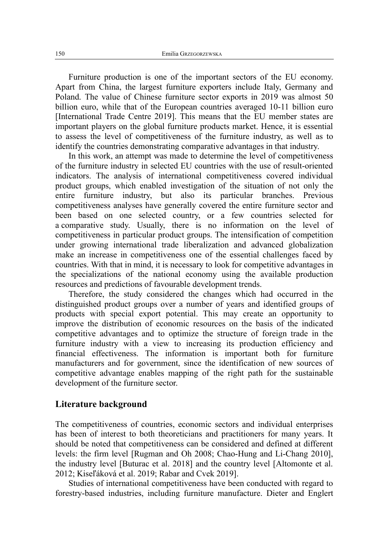Furniture production is one of the important sectors of the EU economy. Apart from China, the largest furniture exporters include Italy, Germany and Poland. The value of Chinese furniture sector exports in 2019 was almost 50 billion euro, while that of the European countries averaged 10-11 billion euro [International Trade Centre 2019]. This means that the EU member states are important players on the global furniture products market. Hence, it is essential to assess the level of competitiveness of the furniture industry, as well as to identify the countries demonstrating comparative advantages in that industry.

In this work, an attempt was made to determine the level of competitiveness of the furniture industry in selected EU countries with the use of result-oriented indicators. The analysis of international competitiveness covered individual product groups, which enabled investigation of the situation of not only the entire furniture industry, but also its particular branches. Previous competitiveness analyses have generally covered the entire furniture sector and been based on one selected country, or a few countries selected for a comparative study. Usually, there is no information on the level of competitiveness in particular product groups. The intensification of competition under growing international trade liberalization and advanced globalization make an increase in competitiveness one of the essential challenges faced by countries. With that in mind, it is necessary to look for competitive advantages in the specializations of the national economy using the available production resources and predictions of favourable development trends.

Therefore, the study considered the changes which had occurred in the distinguished product groups over a number of years and identified groups of products with special export potential. This may create an opportunity to improve the distribution of economic resources on the basis of the indicated competitive advantages and to optimize the structure of foreign trade in the furniture industry with a view to increasing its production efficiency and financial effectiveness. The information is important both for furniture manufacturers and for government, since the identification of new sources of competitive advantage enables mapping of the right path for the sustainable development of the furniture sector.

### **Literature background**

The competitiveness of countries, economic sectors and individual enterprises has been of interest to both theoreticians and practitioners for many years. It should be noted that competitiveness can be considered and defined at different levels: the firm level [Rugman and Oh 2008; Chao-Hung and Li-Chang 2010], the industry level [Buturac et al. 2018] and the country level [Altomonte et al. 2012; Kiseľáková et al. 2019; Rabar and Cvek 2019].

Studies of international competitiveness have been conducted with regard to forestry-based industries, including furniture manufacture. Dieter and Englert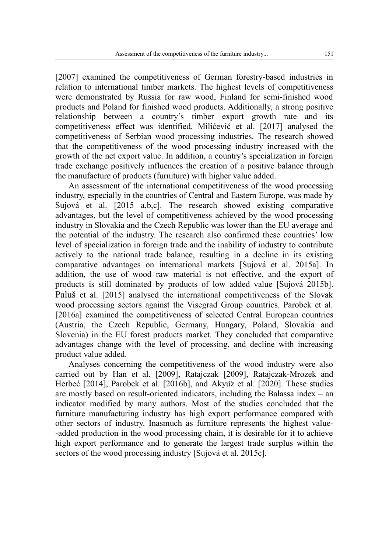[2007] examined the competitiveness of German forestry-based industries in relation to international timber markets. The highest levels of competitiveness were demonstrated by Russia for raw wood, Finland for semi-finished wood products and Poland for finished wood products. Additionally, a strong positive relationship between a country's timber export growth rate and its competitiveness effect was identified. Milićević et al. [2017] analysed the competitiveness of Serbian wood processing industries. The research showed that the competitiveness of the wood processing industry increased with the growth of the net export value. In addition, a country's specialization in foreign trade exchange positively influences the creation of a positive balance through the manufacture of products (furniture) with higher value added.

An assessment of the international competitiveness of the wood processing industry, especially in the countries of Central and Eastern Europe, was made by Sujová et al. [2015 a,b,c]. The research showed existing comparative advantages, but the level of competitiveness achieved by the wood processing industry in Slovakia and the Czech Republic was lower than the EU average and the potential of the industry. The research also confirmed these countries' low level of specialization in foreign trade and the inability of industry to contribute actively to the national trade balance, resulting in a decline in its existing comparative advantages on international markets [Sujová et al. 2015a]. In addition, the use of wood raw material is not effective, and the export of products is still dominated by products of low added value [Sujová 2015b]. Paluš et al. [2015] analysed the international competitiveness of the Slovak wood processing sectors against the Visegrad Group countries. Parobek et al. [2016a] examined the competitiveness of selected Central European countries (Austria, the Czech Republic, Germany, Hungary, Poland, Slovakia and Slovenia) in the EU forest products market. They concluded that comparative advantages change with the level of processing, and decline with increasing product value added.

Analyses concerning the competitiveness of the wood industry were also carried out by Han et al. [2009], Ratajczak [2009], Ratajczak-Mrozek and Herbeć [2014], Parobek et al. [2016b], and Akyuz et al. [2020]. These studies are mostly based on result-oriented indicators, including the Balassa index – an indicator modified by many authors. Most of the studies concluded that the furniture manufacturing industry has high export performance compared with other sectors of industry. Inasmuch as furniture represents the highest value- -added production in the wood processing chain, it is desirable for it to achieve high export performance and to generate the largest trade surplus within the sectors of the wood processing industry [Sujová et al. 2015c].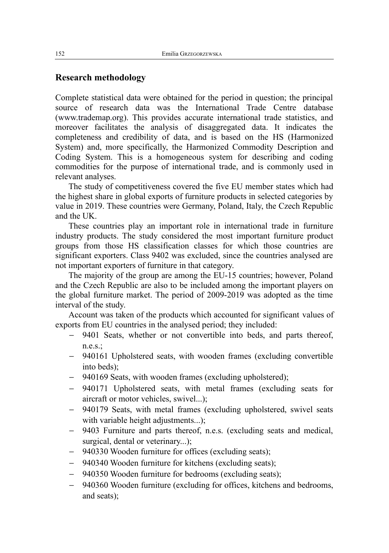## **Research methodology**

Complete statistical data were obtained for the period in question; the principal source of research data was the International Trade Centre database (www.trademap.org). This provides accurate international trade statistics, and moreover facilitates the analysis of disaggregated data. It indicates the completeness and credibility of data, and is based on the HS (Harmonized System) and, more specifically, the Harmonized Commodity Description and Coding System. This is a homogeneous system for describing and coding commodities for the purpose of international trade, and is commonly used in relevant analyses.

The study of competitiveness covered the five EU member states which had the highest share in global exports of furniture products in selected categories by value in 2019. These countries were Germany, Poland, Italy, the Czech Republic and the UK.

These countries play an important role in international trade in furniture industry products. The study considered the most important furniture product groups from those HS classification classes for which those countries are significant exporters. Class 9402 was excluded, since the countries analysed are not important exporters of furniture in that category.

The majority of the group are among the EU-15 countries; however, Poland and the Czech Republic are also to be included among the important players on the global furniture market. The period of 2009-2019 was adopted as the time interval of the study.

Account was taken of the products which accounted for significant values of exports from EU countries in the analysed period; they included:

- 9401 Seats, whether or not convertible into beds, and parts thereof, n.e.s.;
- 940161 Upholstered seats, with wooden frames (excluding convertible into beds);
- 940169 Seats, with wooden frames (excluding upholstered);
- 940171 Upholstered seats, with metal frames (excluding seats for aircraft or motor vehicles, swivel...);
- 940179 Seats, with metal frames (excluding upholstered, swivel seats with variable height adjustments...);
- 9403 Furniture and parts thereof, n.e.s. (excluding seats and medical, surgical, dental or veterinary...);
- 940330 Wooden furniture for offices (excluding seats);
- 940340 Wooden furniture for kitchens (excluding seats);
- 940350 Wooden furniture for bedrooms (excluding seats);
- 940360 Wooden furniture (excluding for offices, kitchens and bedrooms, and seats);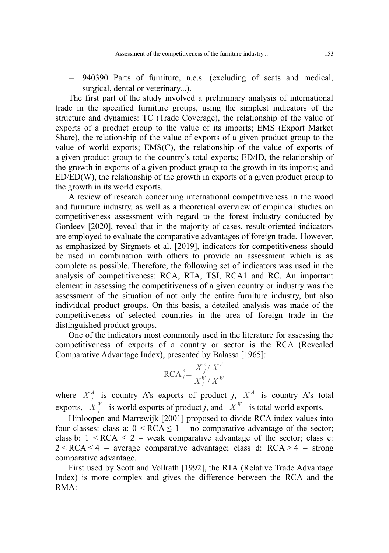940390 Parts of furniture, n.e.s. (excluding of seats and medical, surgical, dental or veterinary...).

The first part of the study involved a preliminary analysis of international trade in the specified furniture groups, using the simplest indicators of the structure and dynamics: TC (Trade Coverage), the relationship of the value of exports of a product group to the value of its imports; EMS (Export Market Share), the relationship of the value of exports of a given product group to the value of world exports; EMS(C), the relationship of the value of exports of a given product group to the country's total exports; ED/ID, the relationship of the growth in exports of a given product group to the growth in its imports; and ED/ED(W), the relationship of the growth in exports of a given product group to the growth in its world exports.

A review of research concerning international competitiveness in the wood and furniture industry, as well as a theoretical overview of empirical studies on competitiveness assessment with regard to the forest industry conducted by Gordeev [2020], reveal that in the majority of cases, result-oriented indicators are employed to evaluate the comparative advantages of foreign trade. However, as emphasized by Sirgmets et al. [2019], indicators for competitiveness should be used in combination with others to provide an assessment which is as complete as possible. Therefore, the following set of indicators was used in the analysis of competitiveness: RCA, RTA, TSI, RCA1 and RC. An important element in assessing the competitiveness of a given country or industry was the assessment of the situation of not only the entire furniture industry, but also individual product groups. On this basis, a detailed analysis was made of the competitiveness of selected countries in the area of foreign trade in the distinguished product groups.

One of the indicators most commonly used in the literature for assessing the competitiveness of exports of a country or sector is the RCA (Revealed Comparative Advantage Index), presented by Balassa [1965]:

$$
\text{RCA}_{j}^{A} = \frac{X_{j}^{A}/X^{A}}{X_{j}^{W}/X^{W}}
$$

where  $X_j^A$  is country A's exports of product *j*,  $X^A$  is country A's total exports,  $X_j^W$  is world exports of product *j*, and  $X^W$  is total world exports.

Hinloopen and Marrewijk [2001] proposed to divide RCA index values into four classes: class a:  $0 \leq RCA \leq 1 - no$  comparative advantage of the sector; class b:  $1 \leq RCA \leq 2$  – weak comparative advantage of the sector; class c:  $2 < RCA \leq 4$  – average comparative advantage; class d:  $RCA > 4$  – strong comparative advantage.

First used by Scott and Vollrath [1992], the RTA (Relative Trade Advantage Index) is more complex and gives the difference between the RCA and the RMA: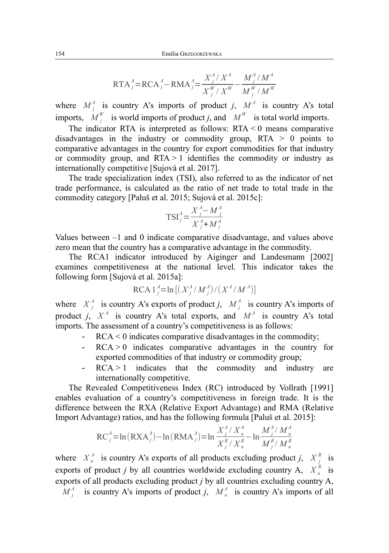$$
RTA_j^A = RCA_j^A - RMA_j^A = \frac{X_j^A / X^A}{X_j^W / X^W} - \frac{M_j^A / M^A}{M_j^W / M^W}
$$

where  $M_j^A$  is country A's imports of product *j*,  $M^A$  is country A's total imports,  $M_j^W$  is world imports of product *j*, and  $M^W$  is total world imports.

The indicator RTA is interpreted as follows: RTA < 0 means comparative disadvantages in the industry or commodity group, RTA > 0 points to comparative advantages in the country for export commodities for that industry or commodity group, and  $RTA > 1$  identifies the commodity or industry as internationally competitive [Sujová et al. 2017].

The trade specialization index (TSI), also referred to as the indicator of net trade performance, is calculated as the ratio of net trade to total trade in the commodity category [Paluš et al. 2015; Sujová et al. 2015c]:

$$
TSI_j^A = \frac{X_j^A - M_j^A}{X_j^A + M_j^A}
$$

Values between –1 and 0 indicate comparative disadvantage, and values above zero mean that the country has a comparative advantage in the commodity.

The RCA1 indicator introduced by Aiginger and Landesmann [2002] examines competitiveness at the national level. This indicator takes the following form [Sujová et al. 2015a]:

$$
RCA1_{j}^{A} = \ln \left[ \left( X_{j}^{A} / M_{j}^{A} \right) / \left( X^{A} / M^{A} \right) \right]
$$

where  $X_j^A$  is country A's exports of product *j*,  $M_j^A$  is country A's imports of product *j*,  $X^A$  is country A's total exports, and  $M^A$  is country A's total imports. The assessment of a country's competitiveness is as follows:

- $RCA < 0$  indicates comparative disadvantages in the commodity;
- $RCA > 0$  indicates comparative advantages in the country for exported commodities of that industry or commodity group;
- $RCA > 1$  indicates that the commodity and industry are internationally competitive.

The Revealed Competitiveness Index (RC) introduced by Vollrath [1991] enables evaluation of a country's competitiveness in foreign trade. It is the difference between the RXA (Relative Export Advantage) and RMA (Relative Import Advantage) ratios, and has the following formula [Paluš et al. 2015]:

$$
RC_j^A = \ln(RXA_j^A) - \ln(RMA_j^A) = \ln \frac{X_j^A / X_n^A}{X_j^R / X_n^R} - \ln \frac{M_j^A / M_n^A}{M_j^R / M_n^R}
$$

where  $X_n^A$  is country A's exports of all products excluding product *j*,  $X_j^R$  is exports of product *j* by all countries worldwide excluding country A,  $X_n^R$  is exports of all products excluding product *j* by all countries excluding country A,  $M_j^A$  is country A's imports of product *j*,  $M_n^A$  is country A's imports of all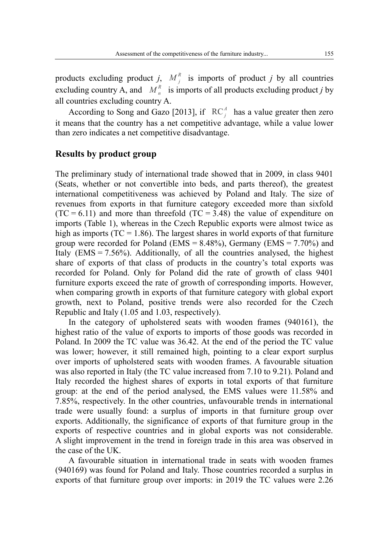products excluding product *j*,  $M_j^R$  is imports of product *j* by all countries excluding country A, and  $M_n^R$  is imports of all products excluding product *j* by all countries excluding country A.

According to Song and Gazo [2013], if  $RC<sup>4</sup><sub>j</sub>$  has a value greater then zero it means that the country has a net competitive advantage, while a value lower than zero indicates a net competitive disadvantage.

#### **Results by product group**

The preliminary study of international trade showed that in 2009, in class 9401 (Seats, whether or not convertible into beds, and parts thereof), the greatest international competitiveness was achieved by Poland and Italy. The size of revenues from exports in that furniture category exceeded more than sixfold  $(TC = 6.11)$  and more than threefold  $(TC = 3.48)$  the value of expenditure on imports (Table 1), whereas in the Czech Republic exports were almost twice as high as imports ( $TC = 1.86$ ). The largest shares in world exports of that furniture group were recorded for Poland (EMS =  $8.48\%$ ), Germany (EMS =  $7.70\%$ ) and Italy  $(EMS = 7.56\%)$ . Additionally, of all the countries analysed, the highest share of exports of that class of products in the country's total exports was recorded for Poland. Only for Poland did the rate of growth of class 9401 furniture exports exceed the rate of growth of corresponding imports. However, when comparing growth in exports of that furniture category with global export growth, next to Poland, positive trends were also recorded for the Czech Republic and Italy (1.05 and 1.03, respectively).

In the category of upholstered seats with wooden frames (940161), the highest ratio of the value of exports to imports of those goods was recorded in Poland. In 2009 the TC value was 36.42. At the end of the period the TC value was lower; however, it still remained high, pointing to a clear export surplus over imports of upholstered seats with wooden frames. A favourable situation was also reported in Italy (the TC value increased from 7.10 to 9.21). Poland and Italy recorded the highest shares of exports in total exports of that furniture group: at the end of the period analysed, the EMS values were 11.58% and 7.85%, respectively. In the other countries, unfavourable trends in international trade were usually found: a surplus of imports in that furniture group over exports. Additionally, the significance of exports of that furniture group in the exports of respective countries and in global exports was not considerable. A slight improvement in the trend in foreign trade in this area was observed in the case of the UK.

A favourable situation in international trade in seats with wooden frames (940169) was found for Poland and Italy. Those countries recorded a surplus in exports of that furniture group over imports: in 2019 the TC values were 2.26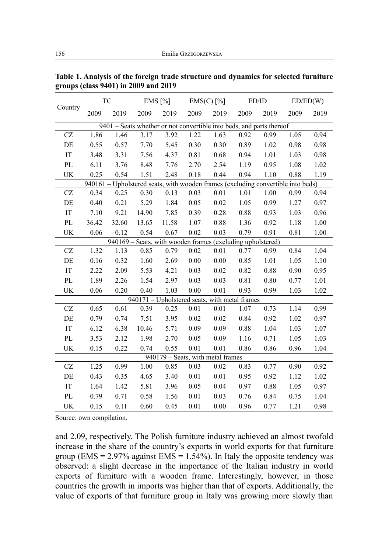|                                                                      | TC                                                                                    |       | $EMS$ [%] |                                               | $EMS(C)$ [%] |          | ED/ID |      | ED/ED(W) |      |  |  |
|----------------------------------------------------------------------|---------------------------------------------------------------------------------------|-------|-----------|-----------------------------------------------|--------------|----------|-------|------|----------|------|--|--|
| Country                                                              | 2009                                                                                  | 2019  | 2009      | 2019                                          | 2009         | 2019     | 2009  | 2019 | 2009     | 2019 |  |  |
| 9401 – Seats whether or not convertible into beds, and parts thereof |                                                                                       |       |           |                                               |              |          |       |      |          |      |  |  |
| CZ                                                                   | 1.86                                                                                  | 1.46  | 3.17      | 3.92                                          | 1.22         | 1.63     | 0.92  | 0.99 | 1.05     | 0.94 |  |  |
| $\rm DE$                                                             | 0.55                                                                                  | 0.57  | 7.70      | 5.45                                          | 0.30         | 0.30     | 0.89  | 1.02 | 0.98     | 0.98 |  |  |
| $\mathop{\text{IT}}$                                                 | 3.48                                                                                  | 3.31  | 7.56      | 4.37                                          | 0.81         | 0.68     | 0.94  | 1.01 | 1.03     | 0.98 |  |  |
| PL                                                                   | 6.11                                                                                  | 3.76  | 8.48      | 7.76                                          | 2.70         | 2.54     | 1.19  | 0.95 | 1.08     | 1.02 |  |  |
| UK                                                                   | 0.25                                                                                  | 0.54  | 1.51      | 2.48                                          | 0.18         | 0.44     | 0.94  | 1.10 | 0.88     | 1.19 |  |  |
|                                                                      | Upholstered seats, with wooden frames (excluding convertible into beds)<br>$940161 -$ |       |           |                                               |              |          |       |      |          |      |  |  |
| CZ                                                                   | 0.34                                                                                  | 0.25  | 0.30      | 0.13                                          | 0.03         | 0.01     | 1.01  | 1.00 | 0.99     | 0.94 |  |  |
| $\rm DE$                                                             | 0.40                                                                                  | 0.21  | 5.29      | 1.84                                          | 0.05         | $0.02\,$ | 1.05  | 0.99 | 1.27     | 0.97 |  |  |
| IT                                                                   | 7.10                                                                                  | 9.21  | 14.90     | 7.85                                          | 0.39         | 0.28     | 0.88  | 0.93 | 1.03     | 0.96 |  |  |
| $\mathbf{P}\mathbf{L}$                                               | 36.42                                                                                 | 32.60 | 13.65     | 11.58                                         | 1.07         | 0.88     | 1.36  | 0.92 | 1.18     | 1.00 |  |  |
| UK                                                                   | 0.06                                                                                  | 0.12  | 0.54      | 0.67                                          | 0.02         | 0.03     | 0.79  | 0.91 | 0.81     | 1.00 |  |  |
| 940169 - Seats, with wooden frames (excluding upholstered)           |                                                                                       |       |           |                                               |              |          |       |      |          |      |  |  |
| $\operatorname{CZ}$                                                  | 1.32                                                                                  | 1.13  | 0.85      | 0.79                                          | 0.02         | 0.01     | 0.77  | 0.99 | 0.84     | 1.04 |  |  |
| $\rm DE$                                                             | 0.16                                                                                  | 0.32  | 1.60      | 2.69                                          | $0.00\,$     | $0.00\,$ | 0.85  | 1.01 | 1.05     | 1.10 |  |  |
| $\mathop{\text{IT}}$                                                 | 2.22                                                                                  | 2.09  | 5.53      | 4.21                                          | 0.03         | $0.02\,$ | 0.82  | 0.88 | 0.90     | 0.95 |  |  |
| PL                                                                   | 1.89                                                                                  | 2.26  | 1.54      | 2.97                                          | 0.03         | 0.03     | 0.81  | 0.80 | 0.77     | 1.01 |  |  |
| UK                                                                   | 0.06                                                                                  | 0.20  | 0.40      | 1.03                                          | 0.00         | 0.01     | 0.93  | 0.99 | 1.03     | 1.02 |  |  |
|                                                                      |                                                                                       |       |           | 940171 - Upholstered seats, with metal frames |              |          |       |      |          |      |  |  |
| $\operatorname{CZ}$                                                  | 0.65                                                                                  | 0.61  | 0.39      | 0.25                                          | 0.01         | 0.01     | 1.07  | 0.73 | 1.14     | 0.99 |  |  |
| $\rm{DE}$                                                            | 0.79                                                                                  | 0.74  | 7.51      | 3.95                                          | 0.02         | $0.02\,$ | 0.84  | 0.92 | 1.02     | 0.97 |  |  |
| $\operatorname{IT}$                                                  | 6.12                                                                                  | 6.38  | 10.46     | 5.71                                          | 0.09         | 0.09     | 0.88  | 1.04 | 1.03     | 1.07 |  |  |
| PL                                                                   | 3.53                                                                                  | 2.12  | 1.98      | 2.70                                          | 0.05         | 0.09     | 1.16  | 0.71 | 1.05     | 1.03 |  |  |
| UK                                                                   | 0.15                                                                                  | 0.22  | 0.74      | 0.55                                          | 0.01         | 0.01     | 0.86  | 0.86 | 0.96     | 1.04 |  |  |
|                                                                      |                                                                                       |       |           | 940179 - Seats, with metal frames             |              |          |       |      |          |      |  |  |
| $\operatorname{CZ}$                                                  | 1.25                                                                                  | 0.99  | 1.00      | 0.85                                          | 0.03         | 0.02     | 0.83  | 0.77 | 0.90     | 0.92 |  |  |
| $\rm{DE}$                                                            | 0.43                                                                                  | 0.35  | 4.65      | 3.40                                          | $0.01\,$     | $0.01\,$ | 0.95  | 0.92 | 1.12     | 1.02 |  |  |
| $\operatorname{IT}$                                                  | 1.64                                                                                  | 1.42  | 5.81      | 3.96                                          | 0.05         | 0.04     | 0.97  | 0.88 | 1.05     | 0.97 |  |  |
| PL                                                                   | 0.79                                                                                  | 0.71  | 0.58      | 1.56                                          | 0.01         | 0.03     | 0.76  | 0.84 | 0.75     | 1.04 |  |  |
| UK                                                                   | 0.15                                                                                  | 0.11  | 0.60      | 0.45                                          | 0.01         | 0.00     | 0.96  | 0.77 | 1.21     | 0.98 |  |  |

**Table 1. Analysis of the foreign trade structure and dynamics for selected furniture groups (class 9401) in 2009 and 2019**

and 2.09, respectively. The Polish furniture industry achieved an almost twofold increase in the share of the country's exports in world exports for that furniture group (EMS =  $2.97\%$  against EMS =  $1.54\%$ ). In Italy the opposite tendency was observed: a slight decrease in the importance of the Italian industry in world exports of furniture with a wooden frame. Interestingly, however, in those countries the growth in imports was higher than that of exports. Additionally, the value of exports of that furniture group in Italy was growing more slowly than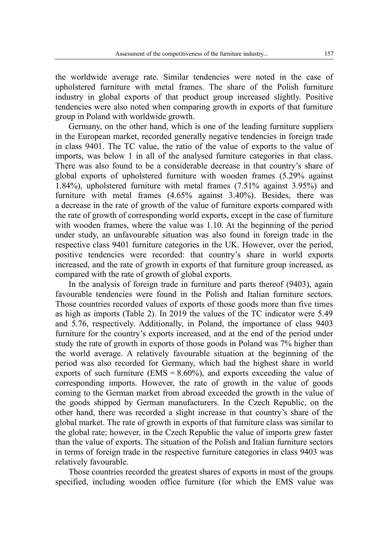the worldwide average rate. Similar tendencies were noted in the case of upholstered furniture with metal frames. The share of the Polish furniture industry in global exports of that product group increased slightly. Positive tendencies were also noted when comparing growth in exports of that furniture group in Poland with worldwide growth.

Germany, on the other hand, which is one of the leading furniture suppliers in the European market, recorded generally negative tendencies in foreign trade in class 9401. The TC value, the ratio of the value of exports to the value of imports, was below 1 in all of the analysed furniture categories in that class. There was also found to be a considerable decrease in that country's share of global exports of upholstered furniture with wooden frames (5.29% against 1.84%), upholstered furniture with metal frames (7.51% against 3.95%) and furniture with metal frames (4.65% against 3.40%). Besides, there was a decrease in the rate of growth of the value of furniture exports compared with the rate of growth of corresponding world exports, except in the case of furniture with wooden frames, where the value was 1.10. At the beginning of the period under study, an unfavourable situation was also found in foreign trade in the respective class 9401 furniture categories in the UK. However, over the period, positive tendencies were recorded: that country's share in world exports increased, and the rate of growth in exports of that furniture group increased, as compared with the rate of growth of global exports.

In the analysis of foreign trade in furniture and parts thereof (9403), again favourable tendencies were found in the Polish and Italian furniture sectors. Those countries recorded values of exports of those goods more than five times as high as imports (Table 2). In 2019 the values of the TC indicator were 5.49 and 5.76, respectively. Additionally, in Poland, the importance of class 9403 furniture for the country's exports increased, and at the end of the period under study the rate of growth in exports of those goods in Poland was 7% higher than the world average. A relatively favourable situation at the beginning of the period was also recorded for Germany, which had the highest share in world exports of such furniture ( $EMS = 8.60\%$ ), and exports exceeding the value of corresponding imports. However, the rate of growth in the value of goods coming to the German market from abroad exceeded the growth in the value of the goods shipped by German manufacturers. In the Czech Republic, on the other hand, there was recorded a slight increase in that country's share of the global market. The rate of growth in exports of that furniture class was similar to the global rate; however, in the Czech Republic the value of imports grew faster than the value of exports. The situation of the Polish and Italian furniture sectors in terms of foreign trade in the respective furniture categories in class 9403 was relatively favourable.

Those countries recorded the greatest shares of exports in most of the groups specified, including wooden office furniture (for which the EMS value was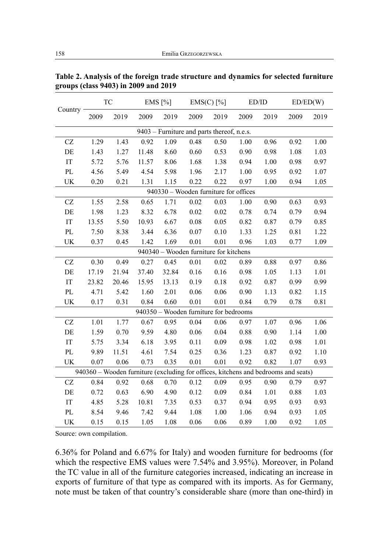|                                                                                    | ${\rm TC}$                            |       | EMS $[%]$ |       | $EMS(C)$ [%]                           |      | ED/ID |          | ED/ED(W) |      |  |
|------------------------------------------------------------------------------------|---------------------------------------|-------|-----------|-------|----------------------------------------|------|-------|----------|----------|------|--|
| Country                                                                            | 2009                                  | 2019  | 2009      | 2019  | 2009                                   | 2019 | 2009  | 2019     | 2009     | 2019 |  |
| 9403 – Furniture and parts thereof, n.e.s.                                         |                                       |       |           |       |                                        |      |       |          |          |      |  |
| CZ                                                                                 | 1.29                                  | 1.43  | 0.92      | 1.09  | 0.48                                   | 0.50 | 1.00  | 0.96     | 0.92     | 1.00 |  |
| DE                                                                                 | 1.43                                  | 1.27  | 11.48     | 8.60  | 0.60                                   | 0.53 | 0.90  | 0.98     | 1.08     | 1.03 |  |
| $\operatorname{IT}$                                                                | 5.72                                  | 5.76  | 11.57     | 8.06  | 1.68                                   | 1.38 | 0.94  | 1.00     | 0.98     | 0.97 |  |
| $\mathbf{P}\mathbf{L}$                                                             | 4.56                                  | 5.49  | 4.54      | 5.98  | 1.96                                   | 2.17 | 1.00  | 0.95     | 0.92     | 1.07 |  |
| UK                                                                                 | 0.20                                  | 0.21  | 1.31      | 1.15  | 0.22                                   | 0.22 | 0.97  | 1.00     | 0.94     | 1.05 |  |
|                                                                                    | 940330 - Wooden furniture for offices |       |           |       |                                        |      |       |          |          |      |  |
| $\operatorname{CZ}$                                                                | 1.55                                  | 2.58  | 0.65      | 1.71  | 0.02                                   | 0.03 | 1.00  | 0.90     | 0.63     | 0.93 |  |
| DE                                                                                 | 1.98                                  | 1.23  | 8.32      | 6.78  | 0.02                                   | 0.02 | 0.78  | 0.74     | 0.79     | 0.94 |  |
| $\operatorname{IT}$                                                                | 13.55                                 | 5.50  | 10.93     | 6.67  | 0.08                                   | 0.05 | 0.82  | 0.87     | 0.79     | 0.85 |  |
| $\rm PL$                                                                           | 7.50                                  | 8.38  | 3.44      | 6.36  | 0.07                                   | 0.10 | 1.33  | 1.25     | 0.81     | 1.22 |  |
| UK                                                                                 | 0.37                                  | 0.45  | 1.42      | 1.69  | 0.01                                   | 0.01 | 0.96  | 1.03     | 0.77     | 1.09 |  |
|                                                                                    |                                       |       |           |       | 940340 - Wooden furniture for kitchens |      |       |          |          |      |  |
| <b>CZ</b>                                                                          | 0.30                                  | 0.49  | 0.27      | 0.45  | 0.01                                   | 0.02 | 0.89  | 0.88     | 0.97     | 0.86 |  |
| DE                                                                                 | 17.19                                 | 21.94 | 37.40     | 32.84 | 0.16                                   | 0.16 | 0.98  | 1.05     | 1.13     | 1.01 |  |
| $\operatorname{IT}$                                                                | 23.82                                 | 20.46 | 15.95     | 13.13 | 0.19                                   | 0.18 | 0.92  | 0.87     | 0.99     | 0.99 |  |
| PL                                                                                 | 4.71                                  | 5.42  | 1.60      | 2.01  | 0.06                                   | 0.06 | 0.90  | 1.13     | 0.82     | 1.15 |  |
| UK                                                                                 | 0.17                                  | 0.31  | 0.84      | 0.60  | 0.01                                   | 0.01 | 0.84  | 0.79     | 0.78     | 0.81 |  |
|                                                                                    |                                       |       |           |       | 940350 - Wooden furniture for bedrooms |      |       |          |          |      |  |
| CZ                                                                                 | 1.01                                  | 1.77  | 0.67      | 0.95  | 0.04                                   | 0.06 | 0.97  | 1.07     | 0.96     | 1.06 |  |
| DE                                                                                 | 1.59                                  | 0.70  | 9.59      | 4.80  | 0.06                                   | 0.04 | 0.88  | 0.90     | 1.14     | 1.00 |  |
| $\operatorname{IT}$                                                                | 5.75                                  | 3.34  | 6.18      | 3.95  | 0.11                                   | 0.09 | 0.98  | 1.02     | 0.98     | 1.01 |  |
| $\rm PL$                                                                           | 9.89                                  | 11.51 | 4.61      | 7.54  | 0.25                                   | 0.36 | 1.23  | 0.87     | 0.92     | 1.10 |  |
| UK                                                                                 | 0.07                                  | 0.06  | 0.73      | 0.35  | 0.01                                   | 0.01 | 0.92  | 0.82     | 1.07     | 0.93 |  |
| 940360 - Wooden furniture (excluding for offices, kitchens and bedrooms and seats) |                                       |       |           |       |                                        |      |       |          |          |      |  |
| CZ                                                                                 | 0.84                                  | 0.92  | 0.68      | 0.70  | 0.12                                   | 0.09 | 0.95  | 0.90     | 0.79     | 0.97 |  |
| DE                                                                                 | 0.72                                  | 0.63  | 6.90      | 4.90  | 0.12                                   | 0.09 | 0.84  | 1.01     | 0.88     | 1.03 |  |
| $\operatorname{IT}$                                                                | 4.85                                  | 5.28  | 10.81     | 7.35  | 0.53                                   | 0.37 | 0.94  | 0.95     | 0.93     | 0.93 |  |
| PL                                                                                 | 8.54                                  | 9.46  | 7.42      | 9.44  | 1.08                                   | 1.00 | 1.06  | 0.94     | 0.93     | 1.05 |  |
| UK                                                                                 | 0.15                                  | 0.15  | 1.05      | 1.08  | 0.06                                   | 0.06 | 0.89  | $1.00\,$ | 0.92     | 1.05 |  |

**Table 2. Analysis of the foreign trade structure and dynamics for selected furniture groups (class 9403) in 2009 and 2019**

6.36% for Poland and 6.67% for Italy) and wooden furniture for bedrooms (for which the respective EMS values were 7.54% and 3.95%). Moreover, in Poland the TC value in all of the furniture categories increased, indicating an increase in exports of furniture of that type as compared with its imports. As for Germany, note must be taken of that country's considerable share (more than one-third) in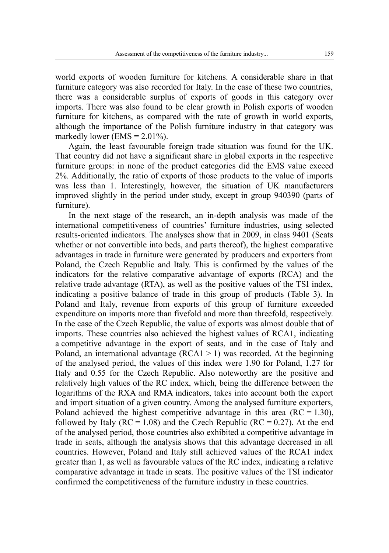world exports of wooden furniture for kitchens. A considerable share in that furniture category was also recorded for Italy. In the case of these two countries, there was a considerable surplus of exports of goods in this category over imports. There was also found to be clear growth in Polish exports of wooden furniture for kitchens, as compared with the rate of growth in world exports, although the importance of the Polish furniture industry in that category was markedly lower (EMS =  $2.01\%$ ).

Again, the least favourable foreign trade situation was found for the UK. That country did not have a significant share in global exports in the respective furniture groups: in none of the product categories did the EMS value exceed 2%. Additionally, the ratio of exports of those products to the value of imports was less than 1. Interestingly, however, the situation of UK manufacturers improved slightly in the period under study, except in group 940390 (parts of furniture).

In the next stage of the research, an in-depth analysis was made of the international competitiveness of countries' furniture industries, using selected results-oriented indicators. The analyses show that in 2009, in class 9401 (Seats whether or not convertible into beds, and parts thereof), the highest comparative advantages in trade in furniture were generated by producers and exporters from Poland, the Czech Republic and Italy. This is confirmed by the values of the indicators for the relative comparative advantage of exports (RCA) and the relative trade advantage (RTA), as well as the positive values of the TSI index, indicating a positive balance of trade in this group of products (Table 3). In Poland and Italy, revenue from exports of this group of furniture exceeded expenditure on imports more than fivefold and more than threefold, respectively. In the case of the Czech Republic, the value of exports was almost double that of imports. These countries also achieved the highest values of RCA1, indicating a competitive advantage in the export of seats, and in the case of Italy and Poland, an international advantage ( $RCA1 > 1$ ) was recorded. At the beginning of the analysed period, the values of this index were 1.90 for Poland, 1.27 for Italy and 0.55 for the Czech Republic. Also noteworthy are the positive and relatively high values of the RC index, which, being the difference between the logarithms of the RXA and RMA indicators, takes into account both the export and import situation of a given country. Among the analysed furniture exporters, Poland achieved the highest competitive advantage in this area  $(RC = 1.30)$ , followed by Italy ( $RC = 1.08$ ) and the Czech Republic ( $RC = 0.27$ ). At the end of the analysed period, those countries also exhibited a competitive advantage in trade in seats, although the analysis shows that this advantage decreased in all countries. However, Poland and Italy still achieved values of the RCA1 index greater than 1, as well as favourable values of the RC index, indicating a relative comparative advantage in trade in seats. The positive values of the TSI indicator confirmed the competitiveness of the furniture industry in these countries.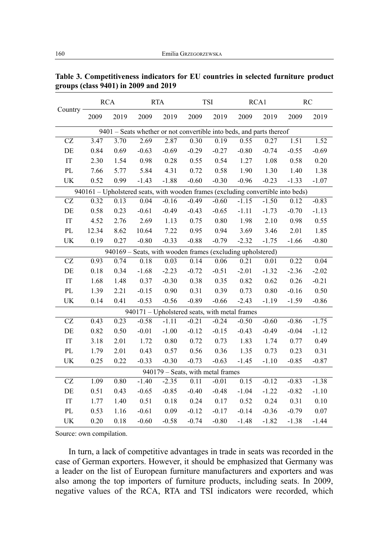|                                                                                  | <b>RCA</b> |          | <b>RTA</b>                                                 |         | TSI                               |         | RCA1    |          | <b>RC</b> |          |  |
|----------------------------------------------------------------------------------|------------|----------|------------------------------------------------------------|---------|-----------------------------------|---------|---------|----------|-----------|----------|--|
| Country                                                                          | 2009       | 2019     | 2009                                                       | 2019    | 2009                              | 2019    | 2009    | 2019     | 2009      | 2019     |  |
| 9401 – Seats whether or not convertible into beds, and parts thereof             |            |          |                                                            |         |                                   |         |         |          |           |          |  |
| CZ                                                                               | 3.47       | 3.70     | 2.69                                                       | 2.87    | 0.30                              | 0.19    | 0.55    | 0.27     | 1.51      | 1.52     |  |
| DE                                                                               | 0.84       | 0.69     | $-0.63$                                                    | $-0.69$ | $-0.29$                           | $-0.27$ | $-0.80$ | $-0.74$  | $-0.55$   | $-0.69$  |  |
| IT                                                                               | 2.30       | 1.54     | 0.98                                                       | 0.28    | 0.55                              | 0.54    | 1.27    | 1.08     | 0.58      | 0.20     |  |
| PL                                                                               | 7.66       | 5.77     | 5.84                                                       | 4.31    | 0.72                              | 0.58    | 1.90    | 1.30     | 1.40      | 1.38     |  |
| UK                                                                               | 0.52       | 0.99     | $-1.43$                                                    | $-1.88$ | $-0.60$                           | $-0.30$ | $-0.96$ | $-0.23$  | $-1.33$   | $-1.07$  |  |
| 940161 - Upholstered seats, with wooden frames (excluding convertible into beds) |            |          |                                                            |         |                                   |         |         |          |           |          |  |
| CZ                                                                               | 0.32       | 0.13     | 0.04                                                       | $-0.16$ | $-0.49$                           | $-0.60$ | $-1.15$ | $-1.50$  | 0.12      | $-0.83$  |  |
| $\rm DE$                                                                         | 0.58       | 0.23     | $-0.61$                                                    | $-0.49$ | $-0.43$                           | $-0.65$ | $-1.11$ | $-1.73$  | $-0.70$   | $-1.13$  |  |
| $\operatorname{IT}$                                                              | 4.52       | 2.76     | 2.69                                                       | 1.13    | 0.75                              | 0.80    | 1.98    | 2.10     | 0.98      | 0.55     |  |
| PL                                                                               | 12.34      | 8.62     | 10.64                                                      | 7.22    | 0.95                              | 0.94    | 3.69    | 3.46     | 2.01      | 1.85     |  |
| UK                                                                               | 0.19       | 0.27     | $-0.80$                                                    | $-0.33$ | $-0.88$                           | $-0.79$ | $-2.32$ | $-1.75$  | $-1.66$   | $-0.80$  |  |
|                                                                                  |            |          | 940169 – Seats, with wooden frames (excluding upholstered) |         |                                   |         |         |          |           |          |  |
| CZ                                                                               | 0.93       | 0.74     | 0.18                                                       | 0.03    | 0.14                              | 0.06    | 0.21    | 0.01     | 0.22      | 0.04     |  |
| DE                                                                               | 0.18       | 0.34     | $-1.68$                                                    | $-2.23$ | $-0.72$                           | $-0.51$ | $-2.01$ | $-1.32$  | $-2.36$   | $-2.02$  |  |
| IT                                                                               | 1.68       | 1.48     | 0.37                                                       | $-0.30$ | 0.38                              | 0.35    | 0.82    | 0.62     | 0.26      | $-0.21$  |  |
| $\mathbf{PL}$                                                                    | 1.39       | 2.21     | $-0.15$                                                    | 0.90    | 0.31                              | 0.39    | 0.73    | $0.80\,$ | $-0.16$   | 0.50     |  |
| UK                                                                               | 0.14       | 0.41     | $-0.53$                                                    | $-0.56$ | $-0.89$                           | $-0.66$ | $-2.43$ | $-1.19$  | $-1.59$   | $-0.86$  |  |
| 940171 - Upholstered seats, with metal frames                                    |            |          |                                                            |         |                                   |         |         |          |           |          |  |
| $\operatorname{CZ}$                                                              | 0.43       | 0.23     | $-0.58$                                                    | $-1.11$ | $-0.21$                           | $-0.24$ | $-0.50$ | $-0.60$  | $-0.86$   | $-1.75$  |  |
| $\rm DE$                                                                         | 0.82       | 0.50     | $-0.01$                                                    | $-1.00$ | $-0.12$                           | $-0.15$ | $-0.43$ | $-0.49$  | $-0.04$   | $-1.12$  |  |
| $\operatorname{IT}$                                                              | 3.18       | 2.01     | 1.72                                                       | 0.80    | 0.72                              | 0.73    | 1.83    | 1.74     | 0.77      | 0.49     |  |
| $\mathbf{PL}$                                                                    | 1.79       | 2.01     | 0.43                                                       | 0.57    | 0.56                              | 0.36    | 1.35    | 0.73     | 0.23      | 0.31     |  |
| UK                                                                               | 0.25       | 0.22     | $-0.33$                                                    | $-0.30$ | $-0.73$                           | $-0.63$ | $-1.45$ | $-1.10$  | $-0.85$   | $-0.87$  |  |
|                                                                                  |            |          |                                                            |         | 940179 - Seats, with metal frames |         |         |          |           |          |  |
| <b>CZ</b>                                                                        | 1.09       | 0.80     | $-1.40$                                                    | $-2.35$ | 0.11                              | $-0.01$ | 0.15    | $-0.12$  | $-0.83$   | $-1.38$  |  |
| $\rm DE$                                                                         | 0.51       | 0.43     | $-0.65$                                                    | $-0.85$ | $-0.40$                           | $-0.48$ | $-1.04$ | $-1.22$  | $-0.82$   | $-1.10$  |  |
| $\operatorname{IT}$                                                              | 1.77       | 1.40     | 0.51                                                       | 0.18    | 0.24                              | 0.17    | 0.52    | 0.24     | 0.31      | 0.10     |  |
| $\mathbf{P}\mathbf{L}$                                                           | 0.53       | 1.16     | $-0.61$                                                    | 0.09    | $-0.12$                           | $-0.17$ | $-0.14$ | $-0.36$  | $-0.79$   | $0.07\,$ |  |
| UK                                                                               | 0.20       | $0.18\,$ | $-0.60$                                                    | $-0.58$ | $-0.74$                           | $-0.80$ | $-1.48$ | $-1.82$  | $-1.38$   | $-1.44$  |  |

**Table 3. Competitiveness indicators for EU countries in selected furniture product groups (class 9401) in 2009 and 2019**

In turn, a lack of competitive advantages in trade in seats was recorded in the case of German exporters. However, it should be emphasized that Germany was a leader on the list of European furniture manufacturers and exporters and was also among the top importers of furniture products, including seats. In 2009, negative values of the RCA, RTA and TSI indicators were recorded, which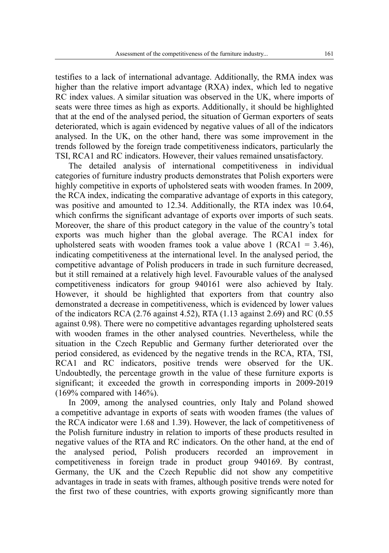testifies to a lack of international advantage. Additionally, the RMA index was higher than the relative import advantage (RXA) index, which led to negative RC index values. A similar situation was observed in the UK, where imports of seats were three times as high as exports. Additionally, it should be highlighted that at the end of the analysed period, the situation of German exporters of seats deteriorated, which is again evidenced by negative values of all of the indicators analysed. In the UK, on the other hand, there was some improvement in the trends followed by the foreign trade competitiveness indicators, particularly the TSI, RCA1 and RC indicators. However, their values remained unsatisfactory.

The detailed analysis of international competitiveness in individual categories of furniture industry products demonstrates that Polish exporters were highly competitive in exports of upholstered seats with wooden frames. In 2009, the RCA index, indicating the comparative advantage of exports in this category, was positive and amounted to 12.34. Additionally, the RTA index was 10.64, which confirms the significant advantage of exports over imports of such seats. Moreover, the share of this product category in the value of the country's total exports was much higher than the global average. The RCA1 index for upholstered seats with wooden frames took a value above 1 ( $RCA1 = 3.46$ ), indicating competitiveness at the international level. In the analysed period, the competitive advantage of Polish producers in trade in such furniture decreased, but it still remained at a relatively high level. Favourable values of the analysed competitiveness indicators for group 940161 were also achieved by Italy. However, it should be highlighted that exporters from that country also demonstrated a decrease in competitiveness, which is evidenced by lower values of the indicators RCA (2.76 against 4.52), RTA (1.13 against 2.69) and RC (0.55 against 0.98). There were no competitive advantages regarding upholstered seats with wooden frames in the other analysed countries. Nevertheless, while the situation in the Czech Republic and Germany further deteriorated over the period considered, as evidenced by the negative trends in the RCA, RTA, TSI, RCA1 and RC indicators, positive trends were observed for the UK. Undoubtedly, the percentage growth in the value of these furniture exports is significant; it exceeded the growth in corresponding imports in 2009-2019  $(169\%$  compared with  $146\%$ ).

In 2009, among the analysed countries, only Italy and Poland showed a competitive advantage in exports of seats with wooden frames (the values of the RCA indicator were 1.68 and 1.39). However, the lack of competitiveness of the Polish furniture industry in relation to imports of these products resulted in negative values of the RTA and RC indicators. On the other hand, at the end of the analysed period, Polish producers recorded an improvement in competitiveness in foreign trade in product group 940169. By contrast, Germany, the UK and the Czech Republic did not show any competitive advantages in trade in seats with frames, although positive trends were noted for the first two of these countries, with exports growing significantly more than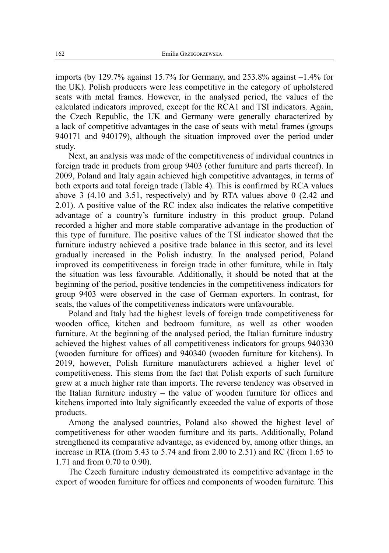imports (by 129.7% against 15.7% for Germany, and  $253.8\%$  against  $-1.4\%$  for the UK). Polish producers were less competitive in the category of upholstered seats with metal frames. However, in the analysed period, the values of the calculated indicators improved, except for the RCA1 and TSI indicators. Again, the Czech Republic, the UK and Germany were generally characterized by a lack of competitive advantages in the case of seats with metal frames (groups 940171 and 940179), although the situation improved over the period under study.

Next, an analysis was made of the competitiveness of individual countries in foreign trade in products from group 9403 (other furniture and parts thereof). In 2009, Poland and Italy again achieved high competitive advantages, in terms of both exports and total foreign trade (Table 4). This is confirmed by RCA values above 3 (4.10 and 3.51, respectively) and by RTA values above 0 (2.42 and 2.01). A positive value of the RC index also indicates the relative competitive advantage of a country's furniture industry in this product group. Poland recorded a higher and more stable comparative advantage in the production of this type of furniture. The positive values of the TSI indicator showed that the furniture industry achieved a positive trade balance in this sector, and its level gradually increased in the Polish industry. In the analysed period, Poland improved its competitiveness in foreign trade in other furniture, while in Italy the situation was less favourable. Additionally, it should be noted that at the beginning of the period, positive tendencies in the competitiveness indicators for group 9403 were observed in the case of German exporters. In contrast, for seats, the values of the competitiveness indicators were unfavourable.

Poland and Italy had the highest levels of foreign trade competitiveness for wooden office, kitchen and bedroom furniture, as well as other wooden furniture. At the beginning of the analysed period, the Italian furniture industry achieved the highest values of all competitiveness indicators for groups 940330 (wooden furniture for offices) and 940340 (wooden furniture for kitchens). In 2019, however, Polish furniture manufacturers achieved a higher level of competitiveness. This stems from the fact that Polish exports of such furniture grew at a much higher rate than imports. The reverse tendency was observed in the Italian furniture industry – the value of wooden furniture for offices and kitchens imported into Italy significantly exceeded the value of exports of those products.

Among the analysed countries, Poland also showed the highest level of competitiveness for other wooden furniture and its parts. Additionally, Poland strengthened its comparative advantage, as evidenced by, among other things, an increase in RTA (from 5.43 to 5.74 and from 2.00 to 2.51) and RC (from 1.65 to 1.71 and from 0.70 to 0.90).

The Czech furniture industry demonstrated its competitive advantage in the export of wooden furniture for offices and components of wooden furniture. This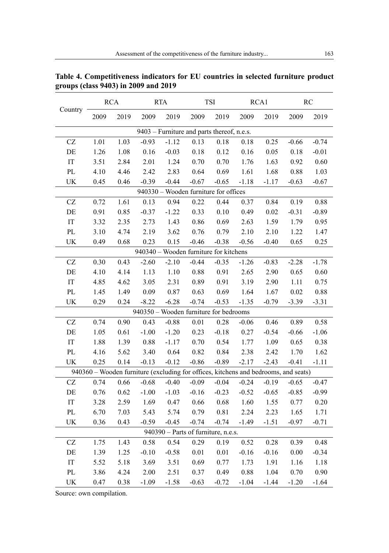|                                            | <b>RCA</b>                             |      | <b>RTA</b>                                                                          |         | <b>TSI</b> |          | RCA1    |         | <b>RC</b> |         |
|--------------------------------------------|----------------------------------------|------|-------------------------------------------------------------------------------------|---------|------------|----------|---------|---------|-----------|---------|
| Country                                    | 2009                                   | 2019 | 2009                                                                                | 2019    | 2009       | 2019     | 2009    | 2019    | 2009      | 2019    |
| 9403 - Furniture and parts thereof, n.e.s. |                                        |      |                                                                                     |         |            |          |         |         |           |         |
| CZ                                         | 1.01                                   | 1.03 | $-0.93$                                                                             | $-1.12$ | 0.13       | 0.18     | 0.18    | 0.25    | $-0.66$   | $-0.74$ |
| DE                                         | 1.26                                   | 1.08 | 0.16                                                                                | $-0.03$ | 0.18       | 0.12     | 0.16    | 0.05    | 0.18      | $-0.01$ |
| $\operatorname{IT}$                        | 3.51                                   | 2.84 | 2.01                                                                                | 1.24    | 0.70       | 0.70     | 1.76    | 1.63    | 0.92      | 0.60    |
| PL                                         | 4.10                                   | 4.46 | 2.42                                                                                | 2.83    | 0.64       | 0.69     | 1.61    | 1.68    | 0.88      | 1.03    |
| UK                                         | 0.45                                   | 0.46 | $-0.39$                                                                             | $-0.44$ | $-0.67$    | $-0.65$  | $-1.18$ | $-1.17$ | $-0.63$   | $-0.67$ |
| 940330 - Wooden furniture for offices      |                                        |      |                                                                                     |         |            |          |         |         |           |         |
| $\operatorname{CZ}$                        | 0.72                                   | 1.61 | 0.13                                                                                | 0.94    | 0.22       | 0.44     | 0.37    | 0.84    | 0.19      | 0.88    |
| $\rm DE$                                   | 0.91                                   | 0.85 | $-0.37$                                                                             | $-1.22$ | 0.33       | 0.10     | 0.49    | 0.02    | $-0.31$   | $-0.89$ |
| $\operatorname{IT}$                        | 3.32                                   | 2.35 | 2.73                                                                                | 1.43    | 0.86       | 0.69     | 2.63    | 1.59    | 1.79      | 0.95    |
| $\rm PL$                                   | 3.10                                   | 4.74 | 2.19                                                                                | 3.62    | 0.76       | 0.79     | 2.10    | 2.10    | 1.22      | 1.47    |
| UK                                         | 0.49                                   | 0.68 | 0.23                                                                                | 0.15    | $-0.46$    | $-0.38$  | $-0.56$ | $-0.40$ | 0.65      | 0.25    |
|                                            | 940340 - Wooden furniture for kitchens |      |                                                                                     |         |            |          |         |         |           |         |
| CZ                                         | 0.30                                   | 0.43 | $-2.60$                                                                             | $-2.10$ | $-0.44$    | $-0.35$  | $-1.26$ | $-0.83$ | $-2.28$   | $-1.78$ |
| $\rm DE$                                   | 4.10                                   | 4.14 | 1.13                                                                                | 1.10    | 0.88       | 0.91     | 2.65    | 2.90    | 0.65      | 0.60    |
| $\operatorname{IT}$                        | 4.85                                   | 4.62 | 3.05                                                                                | 2.31    | 0.89       | 0.91     | 3.19    | 2.90    | 1.11      | 0.75    |
| $\mathbf{P}\mathbf{L}$                     | 1.45                                   | 1.49 | 0.09                                                                                | 0.87    | 0.63       | 0.69     | 1.64    | 1.67    | 0.02      | 0.88    |
| UK                                         | 0.29                                   | 0.24 | $-8.22$                                                                             | $-6.28$ | $-0.74$    | $-0.53$  | $-1.35$ | $-0.79$ | $-3.39$   | $-3.31$ |
|                                            |                                        |      | 940350 - Wooden furniture for bedrooms                                              |         |            |          |         |         |           |         |
| CZ                                         | 0.74                                   | 0.90 | 0.43                                                                                | $-0.88$ | $0.01\,$   | $0.28\,$ | $-0.06$ | 0.46    | 0.89      | 0.58    |
| $\rm{DE}$                                  | 1.05                                   | 0.61 | $-1.00$                                                                             | $-1.20$ | 0.23       | $-0.18$  | 0.27    | $-0.54$ | $-0.66$   | $-1.06$ |
| $\operatorname{IT}$                        | 1.88                                   | 1.39 | 0.88                                                                                | $-1.17$ | 0.70       | 0.54     | 1.77    | 1.09    | 0.65      | 0.38    |
| $\rm PL$                                   | 4.16                                   | 5.62 | 3.40                                                                                | 0.64    | 0.82       | 0.84     | 2.38    | 2.42    | 1.70      | 1.62    |
| UK                                         | 0.25                                   | 0.14 | $-0.13$                                                                             | $-0.12$ | $-0.86$    | $-0.89$  | $-2.17$ | $-2.43$ | $-0.41$   | $-1.11$ |
|                                            |                                        |      | 940360 - Wooden furniture (excluding for offices, kitchens and bedrooms, and seats) |         |            |          |         |         |           |         |
| $\operatorname{CZ}$                        | 0.74                                   | 0.66 | $-0.68$                                                                             | $-0.40$ | $-0.09$    | $-0.04$  | $-0.24$ | $-0.19$ | $-0.65$   | $-0.47$ |
| $\rm{DE}$                                  | 0.76                                   | 0.62 | $-1.00$                                                                             | $-1.03$ | $-0.16$    | $-0.23$  | $-0.52$ | $-0.65$ | $-0.85$   | $-0.99$ |
| $\operatorname{IT}$                        | 3.28                                   | 2.59 | 1.69                                                                                | 0.47    | 0.66       | 0.68     | 1.60    | 1.55    | 0.77      | 0.20    |
| PL                                         | 6.70                                   | 7.03 | 5.43                                                                                | 5.74    | 0.79       | 0.81     | 2.24    | 2.23    | 1.65      | 1.71    |
| UK                                         | 0.36                                   | 0.43 | $-0.59$                                                                             | $-0.45$ | $-0.74$    | $-0.74$  | $-1.49$ | $-1.51$ | $-0.97$   | $-0.71$ |
| 940390 - Parts of furniture, n.e.s.        |                                        |      |                                                                                     |         |            |          |         |         |           |         |
| $\operatorname{CZ}$                        | 1.75                                   | 1.43 | 0.58                                                                                | 0.54    | 0.29       | 0.19     | 0.52    | 0.28    | 0.39      | 0.48    |
| $\rm{DE}$                                  | 1.39                                   | 1.25 | $-0.10$                                                                             | $-0.58$ | $0.01\,$   | $0.01\,$ | $-0.16$ | $-0.16$ | $0.00\,$  | $-0.34$ |
| $\operatorname{IT}$                        | 5.52                                   | 5.18 | 3.69                                                                                | 3.51    | 0.69       | 0.77     | 1.73    | 1.91    | 1.16      | 1.18    |
| PL                                         | 3.86                                   | 4.24 | 2.00                                                                                | 2.51    | 0.37       | 0.49     | 0.88    | 1.04    | 0.70      | 0.90    |
| UK                                         | 0.47                                   | 0.38 | $-1.09$                                                                             | $-1.58$ | $-0.63$    | $-0.72$  | $-1.04$ | $-1.44$ | $-1.20$   | $-1.64$ |

**Table 4. Competitiveness indicators for EU countries in selected furniture product groups (class 9403) in 2009 and 2019**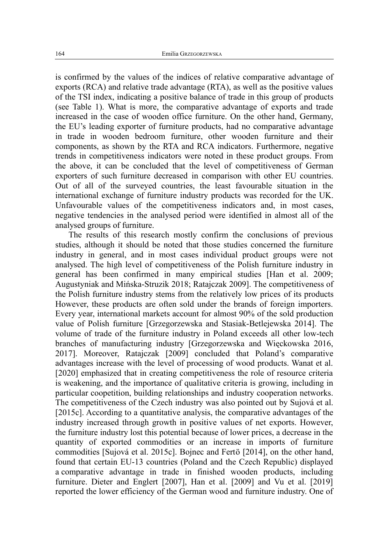is confirmed by the values of the indices of relative comparative advantage of exports (RCA) and relative trade advantage (RTA), as well as the positive values of the TSI index, indicating a positive balance of trade in this group of products (see Table 1). What is more, the comparative advantage of exports and trade increased in the case of wooden office furniture. On the other hand, Germany, the EU's leading exporter of furniture products, had no comparative advantage in trade in wooden bedroom furniture, other wooden furniture and their components, as shown by the RTA and RCA indicators. Furthermore, negative trends in competitiveness indicators were noted in these product groups. From the above, it can be concluded that the level of competitiveness of German exporters of such furniture decreased in comparison with other EU countries. Out of all of the surveyed countries, the least favourable situation in the international exchange of furniture industry products was recorded for the UK. Unfavourable values of the competitiveness indicators and, in most cases, negative tendencies in the analysed period were identified in almost all of the analysed groups of furniture.

The results of this research mostly confirm the conclusions of previous studies, although it should be noted that those studies concerned the furniture industry in general, and in most cases individual product groups were not analysed. The high level of competitiveness of the Polish furniture industry in general has been confirmed in many empirical studies [Han et al. 2009; Augustyniak and Mińska-Struzik 2018; Ratajczak 2009]. The competitiveness of the Polish furniture industry stems from the relatively low prices of its products However, these products are often sold under the brands of foreign importers. Every year, international markets account for almost 90% of the sold production value of Polish furniture [Grzegorzewska and Stasiak-Betlejewska 2014]. The volume of trade of the furniture industry in Poland exceeds all other low-tech branches of manufacturing industry [Grzegorzewska and Więckowska 2016, 2017]. Moreover, Ratajczak [2009] concluded that Poland's comparative advantages increase with the level of processing of wood products. Wanat et al. [2020] emphasized that in creating competitiveness the role of resource criteria is weakening, and the importance of qualitative criteria is growing, including in particular coopetition, building relationships and industry cooperation networks. The competitiveness of the Czech industry was also pointed out by Sujová et al. [2015c]. According to a quantitative analysis, the comparative advantages of the industry increased through growth in positive values of net exports. However, the furniture industry lost this potential because of lower prices, a decrease in the quantity of exported commodities or an increase in imports of furniture commodities [Sujová et al. 2015c]. Bojnec and Fertö [2014], on the other hand, found that certain EU-13 countries (Poland and the Czech Republic) displayed a comparative advantage in trade in finished wooden products, including furniture. Dieter and Englert [2007], Han et al. [2009] and Vu et al. [2019] reported the lower efficiency of the German wood and furniture industry. One of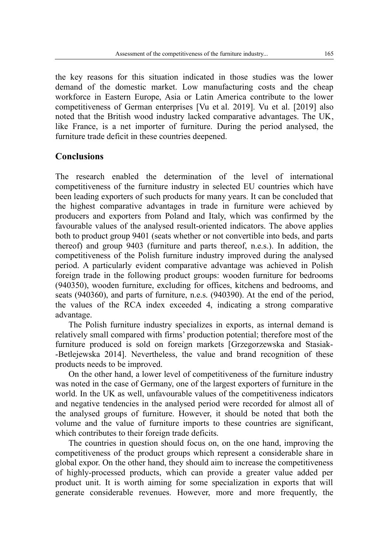the key reasons for this situation indicated in those studies was the lower demand of the domestic market. Low manufacturing costs and the cheap workforce in Eastern Europe, Asia or Latin America contribute to the lower competitiveness of German enterprises [Vu et al. 2019]. Vu et al. [2019] also noted that the British wood industry lacked comparative advantages. The UK, like France, is a net importer of furniture. During the period analysed, the furniture trade deficit in these countries deepened.

## **Conclusions**

The research enabled the determination of the level of international competitiveness of the furniture industry in selected EU countries which have been leading exporters of such products for many years. It can be concluded that the highest comparative advantages in trade in furniture were achieved by producers and exporters from Poland and Italy, which was confirmed by the favourable values of the analysed result-oriented indicators. The above applies both to product group 9401 (seats whether or not convertible into beds, and parts thereof) and group 9403 (furniture and parts thereof, n.e.s.). In addition, the competitiveness of the Polish furniture industry improved during the analysed period. A particularly evident comparative advantage was achieved in Polish foreign trade in the following product groups: wooden furniture for bedrooms (940350), wooden furniture, excluding for offices, kitchens and bedrooms, and seats (940360), and parts of furniture, n.e.s. (940390). At the end of the period, the values of the RCA index exceeded 4, indicating a strong comparative advantage.

The Polish furniture industry specializes in exports, as internal demand is relatively small compared with firms' production potential; therefore most of the furniture produced is sold on foreign markets [Grzegorzewska and Stasiak- -Betlejewska 2014]. Nevertheless, the value and brand recognition of these products needs to be improved.

On the other hand, a lower level of competitiveness of the furniture industry was noted in the case of Germany, one of the largest exporters of furniture in the world. In the UK as well, unfavourable values of the competitiveness indicators and negative tendencies in the analysed period were recorded for almost all of the analysed groups of furniture. However, it should be noted that both the volume and the value of furniture imports to these countries are significant, which contributes to their foreign trade deficits.

The countries in question should focus on, on the one hand, improving the competitiveness of the product groups which represent a considerable share in global expor. On the other hand, they should aim to increase the competitiveness of highly-processed products, which can provide a greater value added per product unit. It is worth aiming for some specialization in exports that will generate considerable revenues. However, more and more frequently, the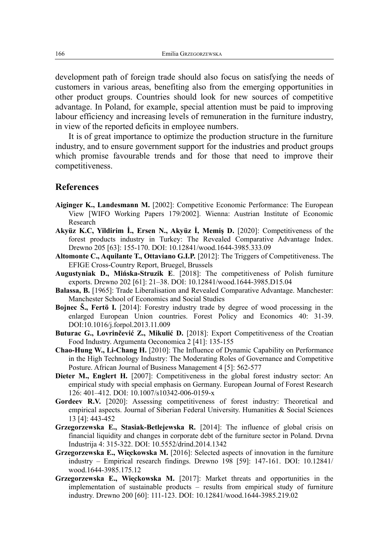development path of foreign trade should also focus on satisfying the needs of customers in various areas, benefiting also from the emerging opportunities in other product groups. Countries should look for new sources of competitive advantage. In Poland, for example, special attention must be paid to improving labour efficiency and increasing levels of remuneration in the furniture industry, in view of the reported deficits in employee numbers.

It is of great importance to optimize the production structure in the furniture industry, and to ensure government support for the industries and product groups which promise favourable trends and for those that need to improve their competitiveness.

#### **References**

- **Aiginger K., Landesmann M.** [2002]: Competitive Economic Performance: The European View [WIFO Working Papers 179/2002]. Wienna: Austrian Institute of Economic Research
- **Akyüz K.C, Yildirim İ., Ersen N., Akyüz İ, Memiş D.** [2020]: Competitiveness of the forest products industry in Turkey: The Revealed Comparative Advantage Index. Drewno 205 [63]: 155-170. DOI: 10.12841/wood.1644-3985.333.09
- **Altomonte C., Aquilante T., Ottaviano G.I.P.** [2012]: The Triggers of Competitiveness. The EFIGE Cross-Country Report, Bruegel, Brussels
- **Augustyniak D., Mińska-Struzik E**. [2018]: The competitiveness of Polish furniture exports. Drewno 202 [61]: 21–38. DOI: 10.12841/wood.1644-3985.D15.04
- **Balassa, B.** [1965]: Trade Liberalisation and Revealed Comparative Advantage. Manchester: Manchester School of Economics and Social Studies
- **Bojnec Š., Fertö I.** [2014]: Forestry industry trade by degree of wood processing in the enlarged European Union countries. Forest Policy and Economics 40: 31-39. DOI:10.1016/j.forpol.2013.11.009
- **Buturac G., Lovrinčević Z., Mikulić D.** [2018]: Export Competitiveness of the Croatian Food Industry. Argumenta Oeconomica 2 [41]: 135-155
- **Chao-Hung W., Li-Chang H.** [2010]: The Influence of Dynamic Capability on Performance in the High Technology Industry: The Moderating Roles of Governance and Competitive Posture. African Journal of Business Management 4 [5]: 562-577
- Dieter M., Englert H. [2007]: Competitiveness in the global forest industry sector: An empirical study with special emphasis on Germany. European Journal of Forest Research 126: 401–412. DOI: 10.1007/s10342-006-0159-x
- **Gordeev R.V.** [2020]: Assessing competitiveness of forest industry: Theoretical and empirical aspects. Journal of Siberian Federal University. Humanities & Social Sciences 13 [4]: 443-452
- **Grzegorzewska E., Stasiak-Betlejewska R.** [2014]: The influence of global crisis on financial liquidity and changes in corporate debt of the furniture sector in Poland. Drvna Industrija 4: 315-322. DOI: 10.5552/drind.2014.1342
- **Grzegorzewska E., Wieckowska M.** [2016]: Selected aspects of innovation in the furniture industry – Empirical research findings. Drewno 198 [59]: 147-161. DOI: 10.12841/ wood.1644-3985.175.12
- **Grzegorzewska E., Wieckowska M.** [2017]: Market threats and opportunities in the implementation of sustainable products – results from empirical study of furniture industry. Drewno 200 [60]: 111-123. DOI: 10.12841/wood.1644-3985.219.02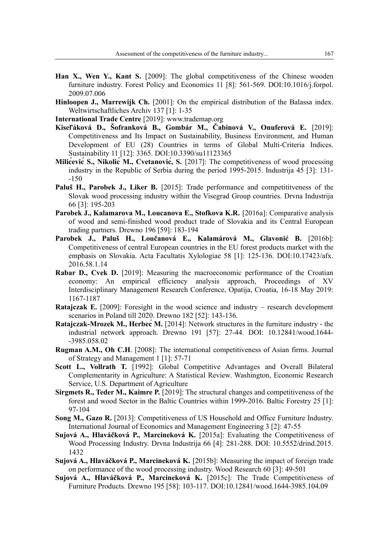- **Han X., Wen Y., Kant S.** [2009]: The global competitiveness of the Chinese wooden furniture industry. Forest Policy and Economics 11 [8]: 561-569. DOI:10.1016/i.forpol. 2009.07.006
- **Hinloopen J., Marrewijk Ch.** [2001]: On the empirical distribution of the Balassa index. Weltwirtschaftliches Archiv 137 [1]: 1-35
- **International Trade Centre** [2019]: www.trademap.org
- **Kiseľáková D., Šofranková B., Gombár M., Čabinová V., Onuferová E.** [2019]: Competitiveness and Its Impact on Sustainability, Business Environment, and Human Development of EU (28) Countries in terms of Global Multi-Criteria Indices. Sustainability 11 [12]: 3365. DOI:10.3390/su11123365
- **Milićević S., Nikolić M., Cvetanović, S.** [2017]: The competitiveness of wood processing industry in the Republic of Serbia during the period 1995-2015. Industrija 45 [3]: 131- -150
- **Paluš H., Parobek J., Liker B.** [2015]: Trade performance and competititveness of the Slovak wood processing industry within the Visegrad Group countries. Drvna Industrija 66 [3]: 195-203
- Parobek J., Kalamarova M., Loucanova E., Stofkova K.R. [2016a]: Comparative analysis of wood and semi-finished wood product trade of Slovakia and its Central European trading partners. Drewno 196 [59]: 183-194
- **Parobek J., Paluš H., Loučanová E., Kalamárová M., Glavonić B.** [2016b]: Competitiveness of central European countries in the EU forest products market with the emphasis on Slovakia. Acta Facultatis Xylologiae 58 [1]: 125-136. DOI:10.17423/afx. 2016.58.1.14
- **Rabar D., Cvek D.** [2019]: Measuring the macroeconomic performance of the Croatian economy: An empirical efficiency analysis approach, Proceedings of XV Interdisciplinary Management Research Conference, Opatija, Croatia, 16-18 May 2019: 1167-1187
- **Ratajczak E.** [2009]: Foresight in the wood science and industry research development scenarios in Poland till 2020. Drewno 182 [52]: 143-136.
- **Ratajczak-Mrozek M., Herbeć M.** [2014]: Network structures in the furniture industry the industrial network approach. Drewno 191 [57]: 27-44. DOI: 10.12841/wood.1644- -3985.058.02
- **Rugman A.M., Oh C.H**. [2008]: The international competitiveness of Asian firms. Journal of Strategy and Management 1 [1]: 57-71
- **Scott L., Vollrath T.** [1992]: Global Competitive Advantages and Overall Bilateral Complementarity in Agriculture: A Statistical Review. Washington, Economic Research Service, U.S. Department of Agriculture
- **Sirgmets R., Teder M., Kaimre P.** [2019]: The structural changes and competitiveness of the forest and wood Sector in the Baltic Countries within 1999-2016. Baltic Forestry 25 [1]: 97-104
- **Song M., Gazo R.** [2013]: Competitiveness of US Household and Office Furniture Industry. International Journal of Economics and Management Engineering 3 [2]: 47-55
- **Sujová A., Hlaváčková P., Marcineková K.** [2015a]: Evaluating the Competitiveness of Wood Processing Industry. Drvna Industrija 66 [4]: 281-288. DOI: 10.5552/drind.2015. 1432
- **Sujová A., Hlaváčková P., Marcineková K.** [2015b]: Measuring the impact of foreign trade on performance of the wood processing industry. Wood Research 60 [3]: 49-501
- **Sujová A., Hlaváčková P., Marcineková K.** [2015c]: The Trade Competitiveness of Furniture Products. Drewno 195 [58]: 103-117. DOI:10.12841/wood.1644-3985.104.09